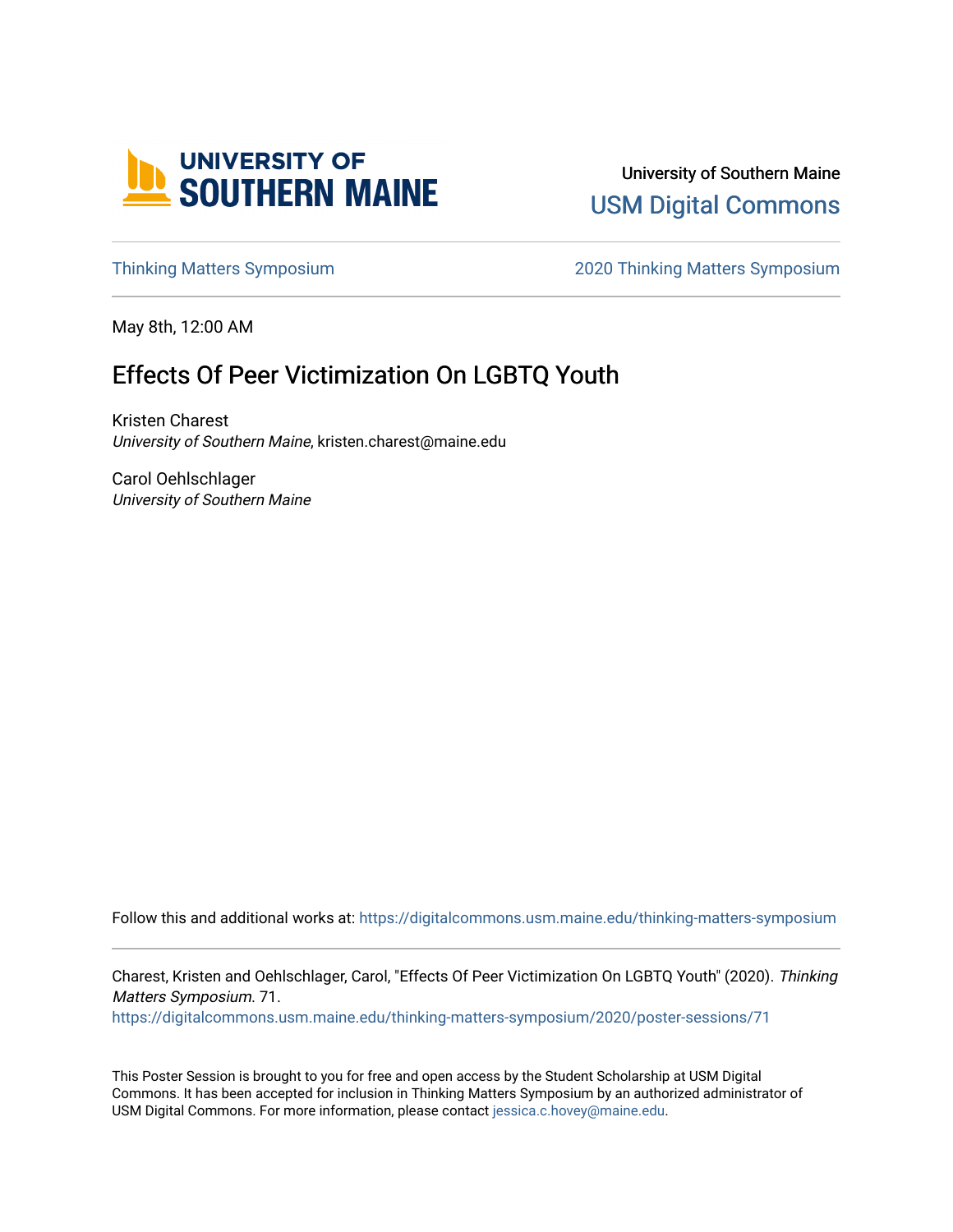

University of Southern Maine [USM Digital Commons](https://digitalcommons.usm.maine.edu/) 

[Thinking Matters Symposium](https://digitalcommons.usm.maine.edu/thinking-matters-symposium) [2020 Thinking Matters Symposium](https://digitalcommons.usm.maine.edu/thinking-matters-symposium/2020) 

May 8th, 12:00 AM

### Effects Of Peer Victimization On LGBTQ Youth

Kristen Charest University of Southern Maine, kristen.charest@maine.edu

Carol Oehlschlager University of Southern Maine

Follow this and additional works at: [https://digitalcommons.usm.maine.edu/thinking-matters-symposium](https://digitalcommons.usm.maine.edu/thinking-matters-symposium?utm_source=digitalcommons.usm.maine.edu%2Fthinking-matters-symposium%2F2020%2Fposter-sessions%2F71&utm_medium=PDF&utm_campaign=PDFCoverPages) 

Charest, Kristen and Oehlschlager, Carol, "Effects Of Peer Victimization On LGBTQ Youth" (2020). Thinking Matters Symposium. 71.

[https://digitalcommons.usm.maine.edu/thinking-matters-symposium/2020/poster-sessions/71](https://digitalcommons.usm.maine.edu/thinking-matters-symposium/2020/poster-sessions/71?utm_source=digitalcommons.usm.maine.edu%2Fthinking-matters-symposium%2F2020%2Fposter-sessions%2F71&utm_medium=PDF&utm_campaign=PDFCoverPages) 

This Poster Session is brought to you for free and open access by the Student Scholarship at USM Digital Commons. It has been accepted for inclusion in Thinking Matters Symposium by an authorized administrator of USM Digital Commons. For more information, please contact [jessica.c.hovey@maine.edu](mailto:ian.fowler@maine.edu).